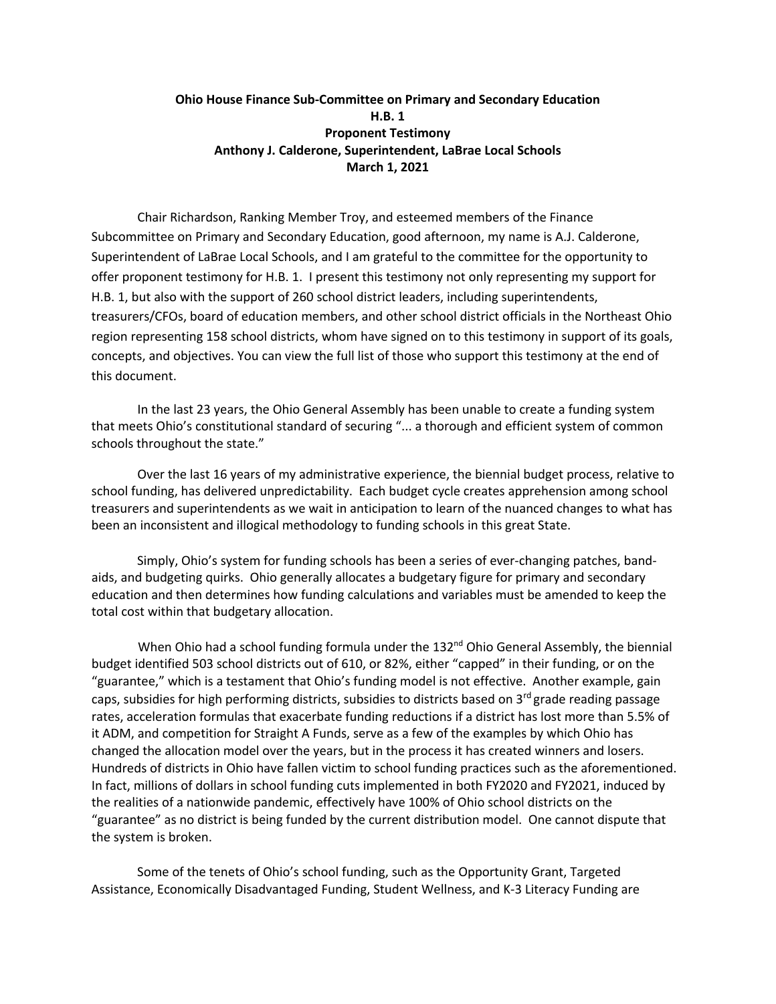## **Ohio House Finance Sub-Committee on Primary and Secondary Education H.B. 1 Proponent Testimony Anthony J. Calderone, Superintendent, LaBrae Local Schools March 1, 2021**

Chair Richardson, Ranking Member Troy, and esteemed members of the Finance Subcommittee on Primary and Secondary Education, good afternoon, my name is A.J. Calderone, Superintendent of LaBrae Local Schools, and I am grateful to the committee for the opportunity to offer proponent testimony for H.B. 1. I present this testimony not only representing my support for H.B. 1, but also with the support of 260 school district leaders, including superintendents, treasurers/CFOs, board of education members, and other school district officials in the Northeast Ohio region representing 158 school districts, whom have signed on to this testimony in support of its goals, concepts, and objectives. You can view the full list of those who support this testimony at the end of this document.

In the last 23 years, the Ohio General Assembly has been unable to create a funding system that meets Ohio's constitutional standard of securing "... a thorough and efficient system of common schools throughout the state."

Over the last 16 years of my administrative experience, the biennial budget process, relative to school funding, has delivered unpredictability. Each budget cycle creates apprehension among school treasurers and superintendents as we wait in anticipation to learn of the nuanced changes to what has been an inconsistent and illogical methodology to funding schools in this great State.

Simply, Ohio's system for funding schools has been a series of ever-changing patches, bandaids, and budgeting quirks. Ohio generally allocates a budgetary figure for primary and secondary education and then determines how funding calculations and variables must be amended to keep the total cost within that budgetary allocation.

When Ohio had a school funding formula under the  $132<sup>nd</sup>$  Ohio General Assembly, the biennial budget identified 503 school districts out of 610, or 82%, either "capped" in their funding, or on the "guarantee," which is a testament that Ohio's funding model is not effective. Another example, gain caps, subsidies for high performing districts, subsidies to districts based on 3<sup>rd</sup> grade reading passage rates, acceleration formulas that exacerbate funding reductions if a district has lost more than 5.5% of it ADM, and competition for Straight A Funds, serve as a few of the examples by which Ohio has changed the allocation model over the years, but in the process it has created winners and losers. Hundreds of districts in Ohio have fallen victim to school funding practices such as the aforementioned. In fact, millions of dollars in school funding cuts implemented in both FY2020 and FY2021, induced by the realities of a nationwide pandemic, effectively have 100% of Ohio school districts on the "guarantee" as no district is being funded by the current distribution model. One cannot dispute that the system is broken.

Some of the tenets of Ohio's school funding, such as the Opportunity Grant, Targeted Assistance, Economically Disadvantaged Funding, Student Wellness, and K-3 Literacy Funding are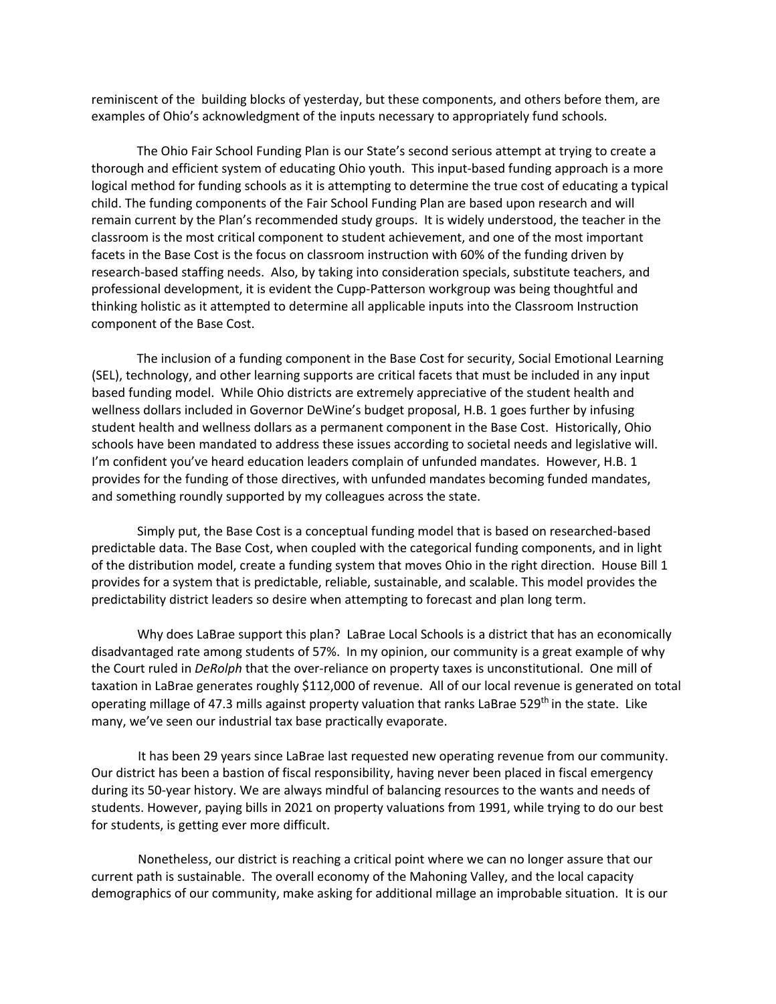reminiscent of the building blocks of yesterday, but these components, and others before them, are examples of Ohio's acknowledgment of the inputs necessary to appropriately fund schools.

The Ohio Fair School Funding Plan is our State's second serious attempt at trying to create a thorough and efficient system of educating Ohio youth. This input-based funding approach is a more logical method for funding schools as it is attempting to determine the true cost of educating a typical child. The funding components of the Fair School Funding Plan are based upon research and will remain current by the Plan's recommended study groups. It is widely understood, the teacher in the classroom is the most critical component to student achievement, and one of the most important facets in the Base Cost is the focus on classroom instruction with 60% of the funding driven by research-based staffing needs. Also, by taking into consideration specials, substitute teachers, and professional development, it is evident the Cupp-Patterson workgroup was being thoughtful and thinking holistic as it attempted to determine all applicable inputs into the Classroom Instruction component of the Base Cost.

The inclusion of a funding component in the Base Cost for security, Social Emotional Learning (SEL), technology, and other learning supports are critical facets that must be included in any input based funding model. While Ohio districts are extremely appreciative of the student health and wellness dollars included in Governor DeWine's budget proposal, H.B. 1 goes further by infusing student health and wellness dollars as a permanent component in the Base Cost. Historically, Ohio schools have been mandated to address these issues according to societal needs and legislative will. I'm confident you've heard education leaders complain of unfunded mandates. However, H.B. 1 provides for the funding of those directives, with unfunded mandates becoming funded mandates, and something roundly supported by my colleagues across the state.

Simply put, the Base Cost is a conceptual funding model that is based on researched-based predictable data. The Base Cost, when coupled with the categorical funding components, and in light of the distribution model, create a funding system that moves Ohio in the right direction. House Bill 1 provides for a system that is predictable, reliable, sustainable, and scalable. This model provides the predictability district leaders so desire when attempting to forecast and plan long term.

Why does LaBrae support this plan? LaBrae Local Schools is a district that has an economically disadvantaged rate among students of 57%. In my opinion, our community is a great example of why the Court ruled in *DeRolph* that the over-reliance on property taxes is unconstitutional. One mill of taxation in LaBrae generates roughly \$112,000 of revenue. All of our local revenue is generated on total operating millage of 47.3 mills against property valuation that ranks LaBrae 529<sup>th</sup> in the state. Like many, we've seen our industrial tax base practically evaporate.

It has been 29 years since LaBrae last requested new operating revenue from our community. Our district has been a bastion of fiscal responsibility, having never been placed in fiscal emergency during its 50-year history. We are always mindful of balancing resources to the wants and needs of students. However, paying bills in 2021 on property valuations from 1991, while trying to do our best for students, is getting ever more difficult.

Nonetheless, our district is reaching a critical point where we can no longer assure that our current path is sustainable. The overall economy of the Mahoning Valley, and the local capacity demographics of our community, make asking for additional millage an improbable situation. It is our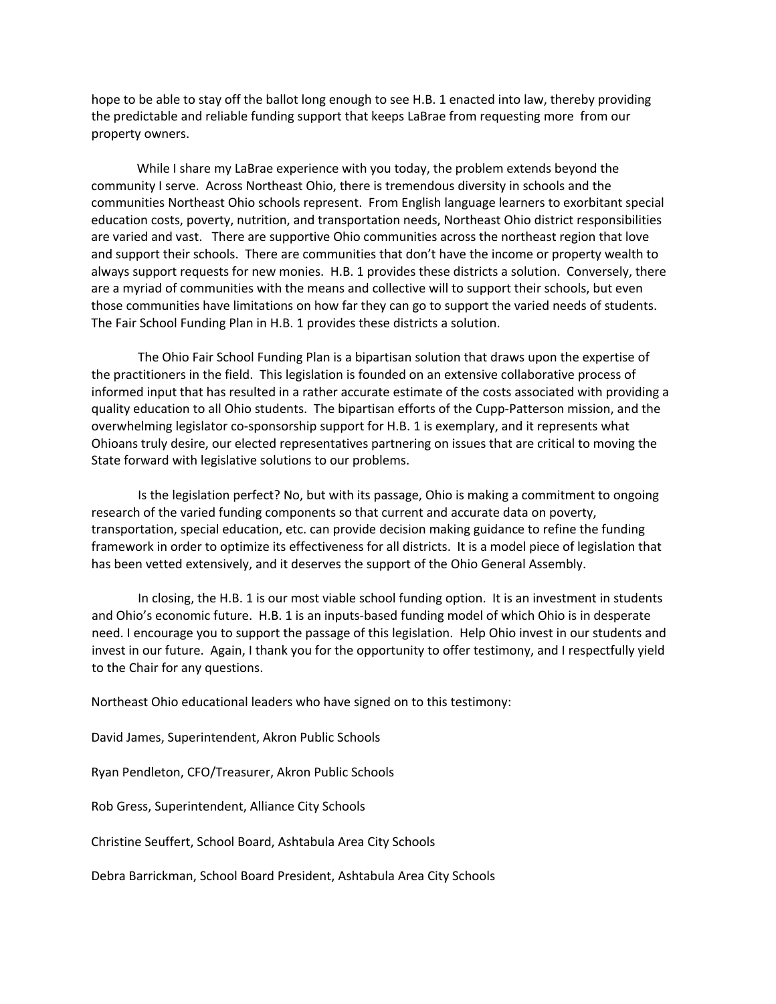hope to be able to stay off the ballot long enough to see H.B. 1 enacted into law, thereby providing the predictable and reliable funding support that keeps LaBrae from requesting more from our property owners.

While I share my LaBrae experience with you today, the problem extends beyond the community I serve. Across Northeast Ohio, there is tremendous diversity in schools and the communities Northeast Ohio schools represent. From English language learners to exorbitant special education costs, poverty, nutrition, and transportation needs, Northeast Ohio district responsibilities are varied and vast. There are supportive Ohio communities across the northeast region that love and support their schools. There are communities that don't have the income or property wealth to always support requests for new monies. H.B. 1 provides these districts a solution. Conversely, there are a myriad of communities with the means and collective will to support their schools, but even those communities have limitations on how far they can go to support the varied needs of students. The Fair School Funding Plan in H.B. 1 provides these districts a solution.

The Ohio Fair School Funding Plan is a bipartisan solution that draws upon the expertise of the practitioners in the field. This legislation is founded on an extensive collaborative process of informed input that has resulted in a rather accurate estimate of the costs associated with providing a quality education to all Ohio students. The bipartisan efforts of the Cupp-Patterson mission, and the overwhelming legislator co-sponsorship support for H.B. 1 is exemplary, and it represents what Ohioans truly desire, our elected representatives partnering on issues that are critical to moving the State forward with legislative solutions to our problems.

Is the legislation perfect? No, but with its passage, Ohio is making a commitment to ongoing research of the varied funding components so that current and accurate data on poverty, transportation, special education, etc. can provide decision making guidance to refine the funding framework in order to optimize its effectiveness for all districts. It is a model piece of legislation that has been vetted extensively, and it deserves the support of the Ohio General Assembly.

In closing, the H.B. 1 is our most viable school funding option. It is an investment in students and Ohio's economic future. H.B. 1 is an inputs-based funding model of which Ohio is in desperate need. I encourage you to support the passage of this legislation. Help Ohio invest in our students and invest in our future. Again, I thank you for the opportunity to offer testimony, and I respectfully yield to the Chair for any questions.

Northeast Ohio educational leaders who have signed on to this testimony:

David James, Superintendent, Akron Public Schools

Ryan Pendleton, CFO/Treasurer, Akron Public Schools

Rob Gress, Superintendent, Alliance City Schools

Christine Seuffert, School Board, Ashtabula Area City Schools

Debra Barrickman, School Board President, Ashtabula Area City Schools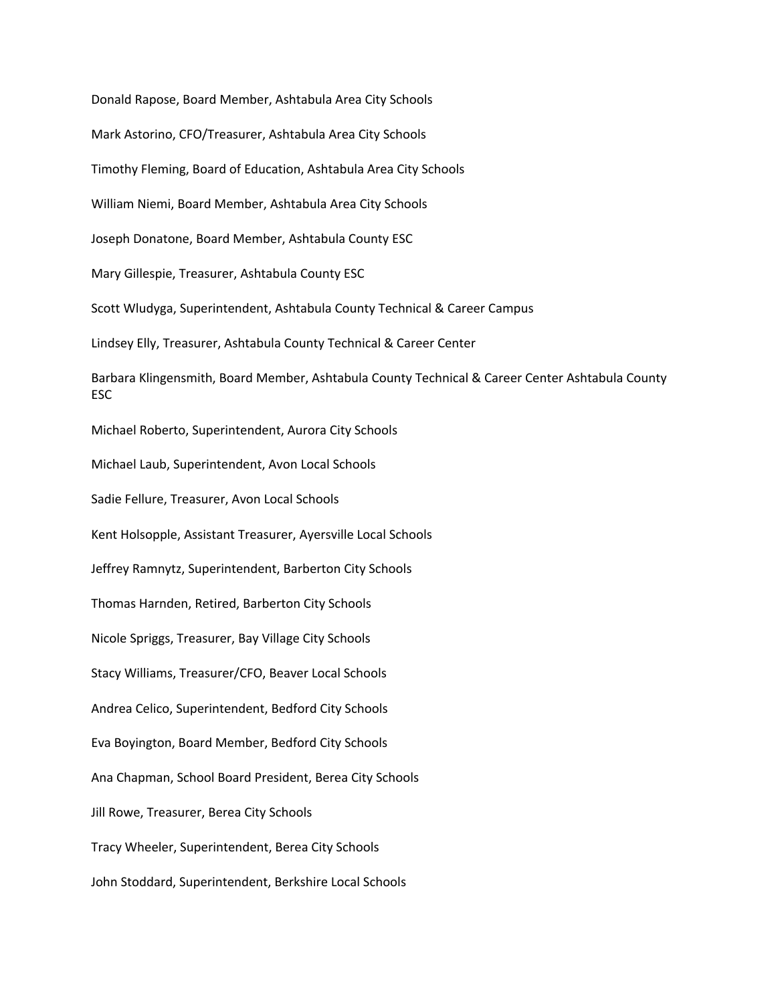Donald Rapose, Board Member, Ashtabula Area City Schools Mark Astorino, CFO/Treasurer, Ashtabula Area City Schools Timothy Fleming, Board of Education, Ashtabula Area City Schools William Niemi, Board Member, Ashtabula Area City Schools Joseph Donatone, Board Member, Ashtabula County ESC Mary Gillespie, Treasurer, Ashtabula County ESC Scott Wludyga, Superintendent, Ashtabula County Technical & Career Campus Lindsey Elly, Treasurer, Ashtabula County Technical & Career Center Barbara Klingensmith, Board Member, Ashtabula County Technical & Career Center Ashtabula County ESC Michael Roberto, Superintendent, Aurora City Schools Michael Laub, Superintendent, Avon Local Schools Sadie Fellure, Treasurer, Avon Local Schools Kent Holsopple, Assistant Treasurer, Ayersville Local Schools Jeffrey Ramnytz, Superintendent, Barberton City Schools Thomas Harnden, Retired, Barberton City Schools Nicole Spriggs, Treasurer, Bay Village City Schools Stacy Williams, Treasurer/CFO, Beaver Local Schools Andrea Celico, Superintendent, Bedford City Schools Eva Boyington, Board Member, Bedford City Schools Ana Chapman, School Board President, Berea City Schools Jill Rowe, Treasurer, Berea City Schools Tracy Wheeler, Superintendent, Berea City Schools John Stoddard, Superintendent, Berkshire Local Schools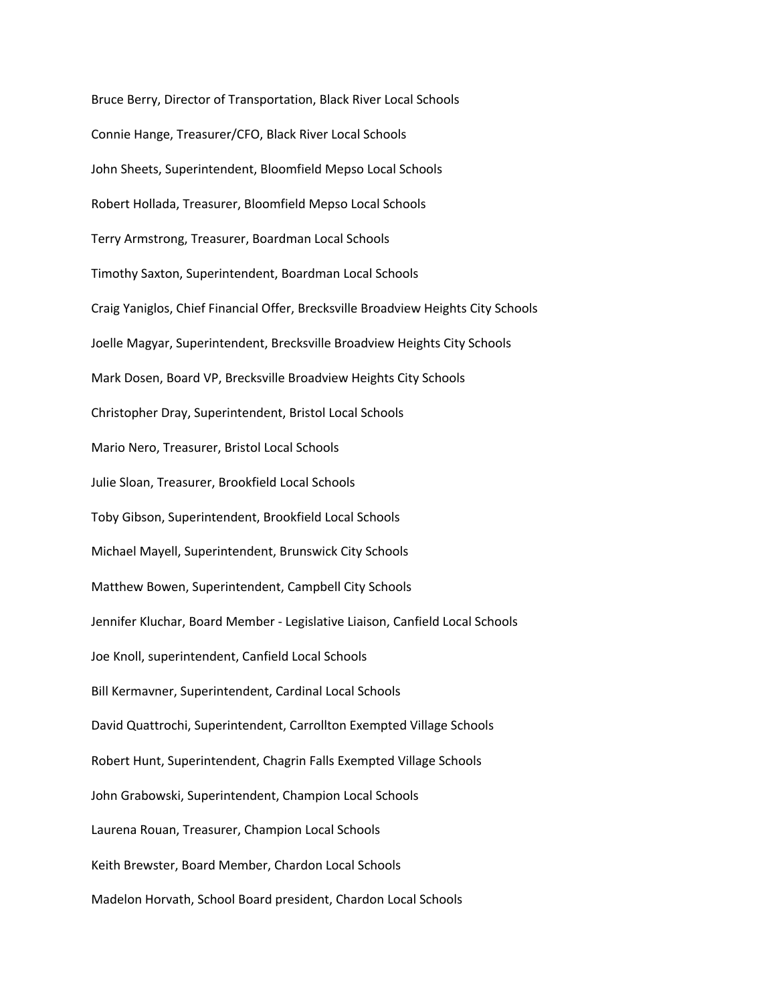Bruce Berry, Director of Transportation, Black River Local Schools Connie Hange, Treasurer/CFO, Black River Local Schools John Sheets, Superintendent, Bloomfield Mepso Local Schools Robert Hollada, Treasurer, Bloomfield Mepso Local Schools Terry Armstrong, Treasurer, Boardman Local Schools Timothy Saxton, Superintendent, Boardman Local Schools Craig Yaniglos, Chief Financial Offer, Brecksville Broadview Heights City Schools Joelle Magyar, Superintendent, Brecksville Broadview Heights City Schools Mark Dosen, Board VP, Brecksville Broadview Heights City Schools Christopher Dray, Superintendent, Bristol Local Schools Mario Nero, Treasurer, Bristol Local Schools Julie Sloan, Treasurer, Brookfield Local Schools Toby Gibson, Superintendent, Brookfield Local Schools Michael Mayell, Superintendent, Brunswick City Schools Matthew Bowen, Superintendent, Campbell City Schools Jennifer Kluchar, Board Member - Legislative Liaison, Canfield Local Schools Joe Knoll, superintendent, Canfield Local Schools Bill Kermavner, Superintendent, Cardinal Local Schools David Quattrochi, Superintendent, Carrollton Exempted Village Schools Robert Hunt, Superintendent, Chagrin Falls Exempted Village Schools John Grabowski, Superintendent, Champion Local Schools Laurena Rouan, Treasurer, Champion Local Schools Keith Brewster, Board Member, Chardon Local Schools Madelon Horvath, School Board president, Chardon Local Schools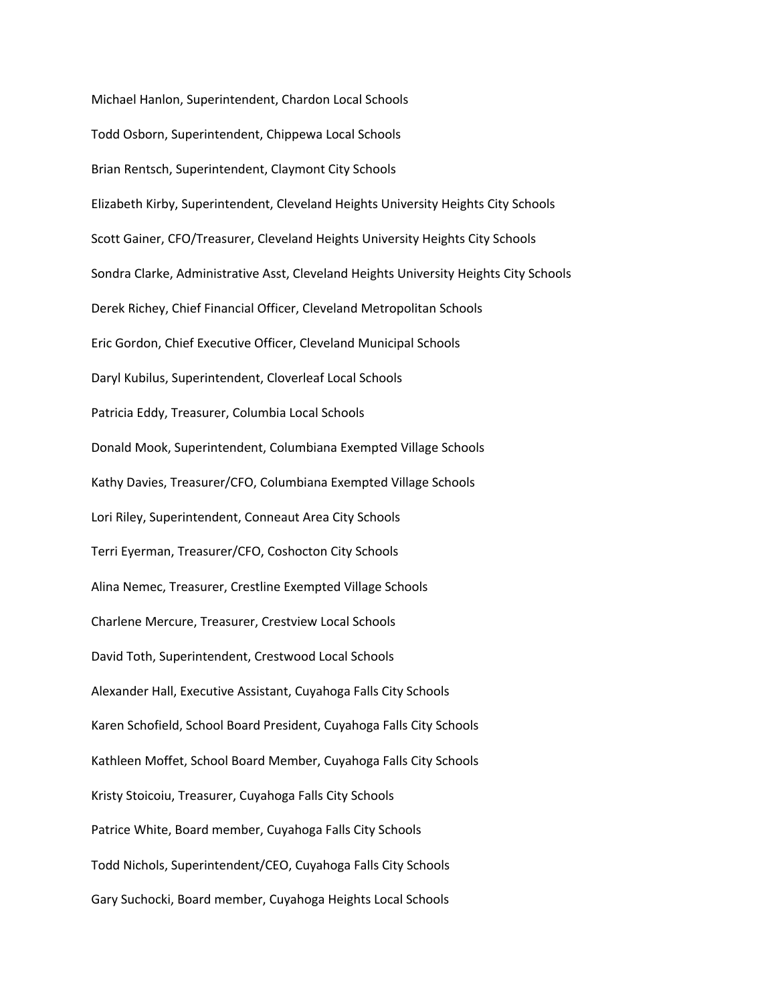Michael Hanlon, Superintendent, Chardon Local Schools Todd Osborn, Superintendent, Chippewa Local Schools Brian Rentsch, Superintendent, Claymont City Schools Elizabeth Kirby, Superintendent, Cleveland Heights University Heights City Schools Scott Gainer, CFO/Treasurer, Cleveland Heights University Heights City Schools Sondra Clarke, Administrative Asst, Cleveland Heights University Heights City Schools Derek Richey, Chief Financial Officer, Cleveland Metropolitan Schools Eric Gordon, Chief Executive Officer, Cleveland Municipal Schools Daryl Kubilus, Superintendent, Cloverleaf Local Schools Patricia Eddy, Treasurer, Columbia Local Schools Donald Mook, Superintendent, Columbiana Exempted Village Schools Kathy Davies, Treasurer/CFO, Columbiana Exempted Village Schools Lori Riley, Superintendent, Conneaut Area City Schools Terri Eyerman, Treasurer/CFO, Coshocton City Schools Alina Nemec, Treasurer, Crestline Exempted Village Schools Charlene Mercure, Treasurer, Crestview Local Schools David Toth, Superintendent, Crestwood Local Schools Alexander Hall, Executive Assistant, Cuyahoga Falls City Schools Karen Schofield, School Board President, Cuyahoga Falls City Schools Kathleen Moffet, School Board Member, Cuyahoga Falls City Schools Kristy Stoicoiu, Treasurer, Cuyahoga Falls City Schools Patrice White, Board member, Cuyahoga Falls City Schools Todd Nichols, Superintendent/CEO, Cuyahoga Falls City Schools Gary Suchocki, Board member, Cuyahoga Heights Local Schools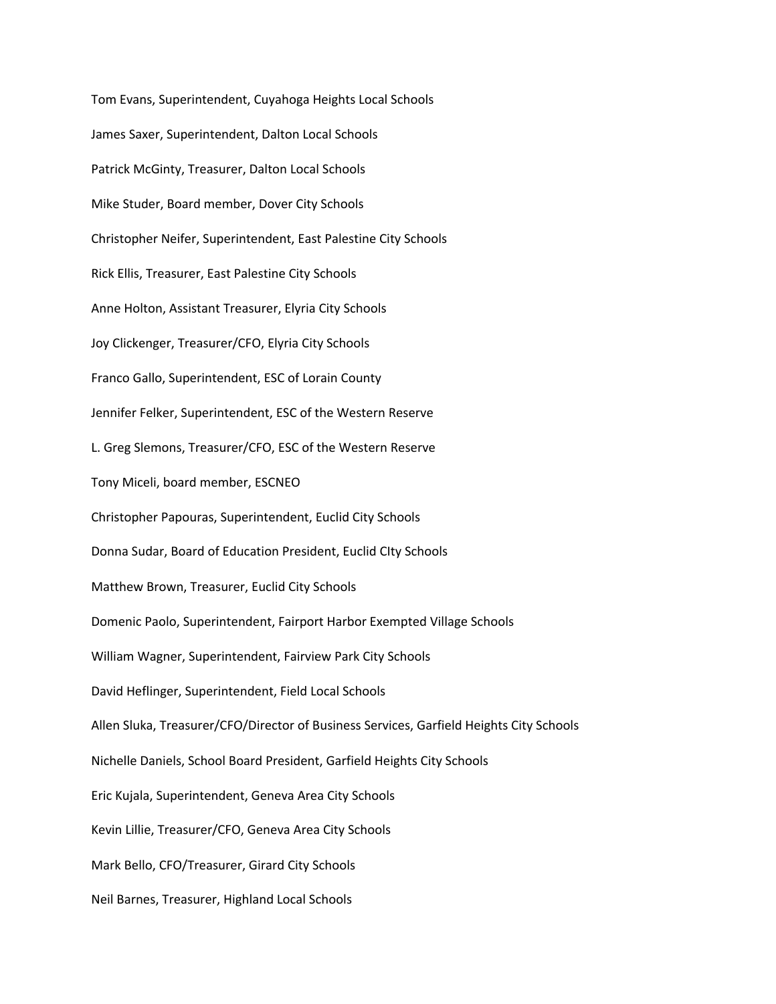Tom Evans, Superintendent, Cuyahoga Heights Local Schools James Saxer, Superintendent, Dalton Local Schools Patrick McGinty, Treasurer, Dalton Local Schools Mike Studer, Board member, Dover City Schools Christopher Neifer, Superintendent, East Palestine City Schools Rick Ellis, Treasurer, East Palestine City Schools Anne Holton, Assistant Treasurer, Elyria City Schools Joy Clickenger, Treasurer/CFO, Elyria City Schools Franco Gallo, Superintendent, ESC of Lorain County Jennifer Felker, Superintendent, ESC of the Western Reserve L. Greg Slemons, Treasurer/CFO, ESC of the Western Reserve Tony Miceli, board member, ESCNEO Christopher Papouras, Superintendent, Euclid City Schools Donna Sudar, Board of Education President, Euclid CIty Schools Matthew Brown, Treasurer, Euclid City Schools Domenic Paolo, Superintendent, Fairport Harbor Exempted Village Schools William Wagner, Superintendent, Fairview Park City Schools David Heflinger, Superintendent, Field Local Schools Allen Sluka, Treasurer/CFO/Director of Business Services, Garfield Heights City Schools Nichelle Daniels, School Board President, Garfield Heights City Schools Eric Kujala, Superintendent, Geneva Area City Schools Kevin Lillie, Treasurer/CFO, Geneva Area City Schools Mark Bello, CFO/Treasurer, Girard City Schools Neil Barnes, Treasurer, Highland Local Schools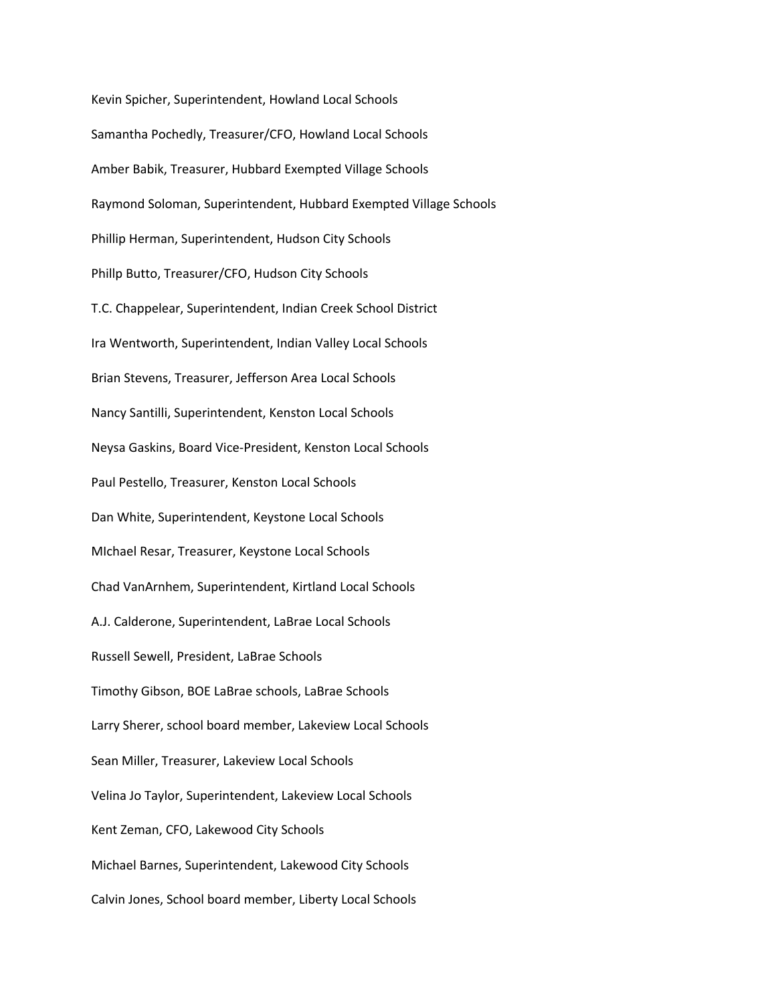Kevin Spicher, Superintendent, Howland Local Schools Samantha Pochedly, Treasurer/CFO, Howland Local Schools Amber Babik, Treasurer, Hubbard Exempted Village Schools Raymond Soloman, Superintendent, Hubbard Exempted Village Schools Phillip Herman, Superintendent, Hudson City Schools Phillp Butto, Treasurer/CFO, Hudson City Schools T.C. Chappelear, Superintendent, Indian Creek School District Ira Wentworth, Superintendent, Indian Valley Local Schools Brian Stevens, Treasurer, Jefferson Area Local Schools Nancy Santilli, Superintendent, Kenston Local Schools Neysa Gaskins, Board Vice-President, Kenston Local Schools Paul Pestello, Treasurer, Kenston Local Schools Dan White, Superintendent, Keystone Local Schools MIchael Resar, Treasurer, Keystone Local Schools Chad VanArnhem, Superintendent, Kirtland Local Schools A.J. Calderone, Superintendent, LaBrae Local Schools Russell Sewell, President, LaBrae Schools Timothy Gibson, BOE LaBrae schools, LaBrae Schools Larry Sherer, school board member, Lakeview Local Schools Sean Miller, Treasurer, Lakeview Local Schools Velina Jo Taylor, Superintendent, Lakeview Local Schools Kent Zeman, CFO, Lakewood City Schools Michael Barnes, Superintendent, Lakewood City Schools Calvin Jones, School board member, Liberty Local Schools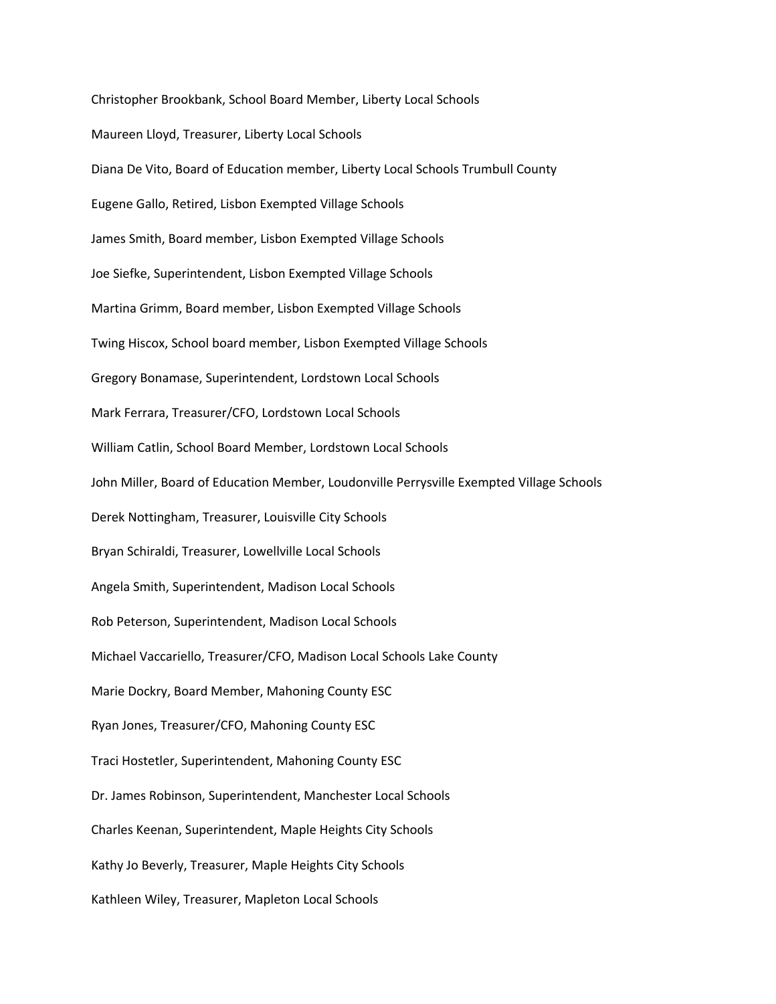Christopher Brookbank, School Board Member, Liberty Local Schools Maureen Lloyd, Treasurer, Liberty Local Schools Diana De Vito, Board of Education member, Liberty Local Schools Trumbull County Eugene Gallo, Retired, Lisbon Exempted Village Schools James Smith, Board member, Lisbon Exempted Village Schools Joe Siefke, Superintendent, Lisbon Exempted Village Schools Martina Grimm, Board member, Lisbon Exempted Village Schools Twing Hiscox, School board member, Lisbon Exempted Village Schools Gregory Bonamase, Superintendent, Lordstown Local Schools Mark Ferrara, Treasurer/CFO, Lordstown Local Schools William Catlin, School Board Member, Lordstown Local Schools John Miller, Board of Education Member, Loudonville Perrysville Exempted Village Schools Derek Nottingham, Treasurer, Louisville City Schools Bryan Schiraldi, Treasurer, Lowellville Local Schools Angela Smith, Superintendent, Madison Local Schools Rob Peterson, Superintendent, Madison Local Schools Michael Vaccariello, Treasurer/CFO, Madison Local Schools Lake County Marie Dockry, Board Member, Mahoning County ESC Ryan Jones, Treasurer/CFO, Mahoning County ESC Traci Hostetler, Superintendent, Mahoning County ESC Dr. James Robinson, Superintendent, Manchester Local Schools Charles Keenan, Superintendent, Maple Heights City Schools Kathy Jo Beverly, Treasurer, Maple Heights City Schools Kathleen Wiley, Treasurer, Mapleton Local Schools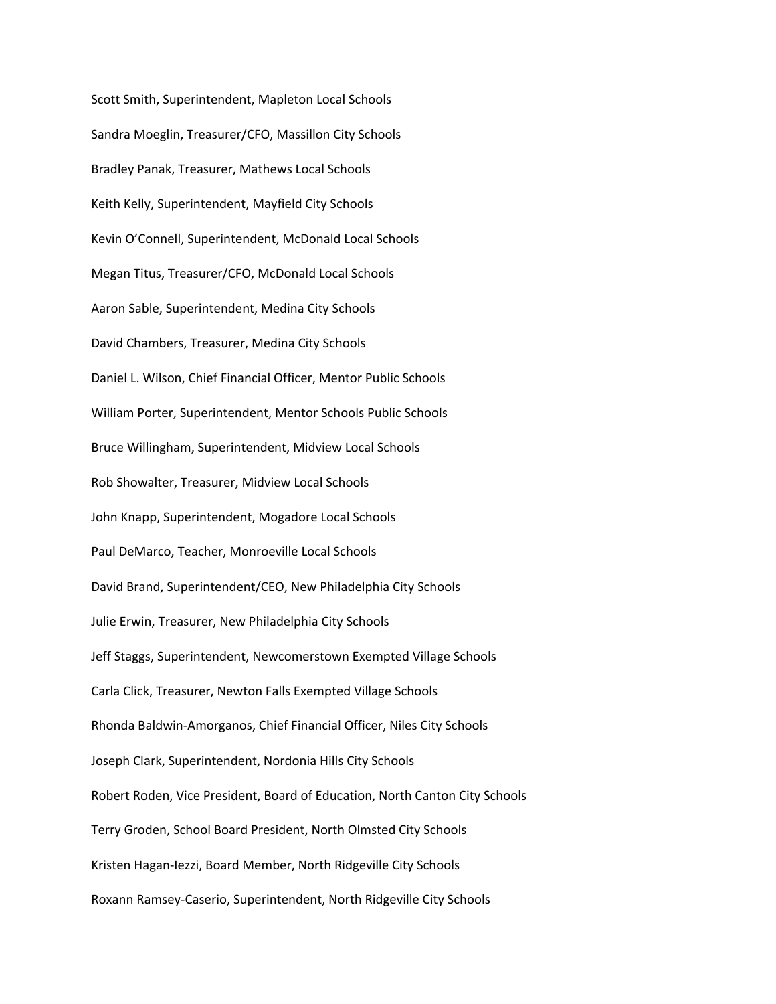Scott Smith, Superintendent, Mapleton Local Schools Sandra Moeglin, Treasurer/CFO, Massillon City Schools Bradley Panak, Treasurer, Mathews Local Schools Keith Kelly, Superintendent, Mayfield City Schools Kevin O'Connell, Superintendent, McDonald Local Schools Megan Titus, Treasurer/CFO, McDonald Local Schools Aaron Sable, Superintendent, Medina City Schools David Chambers, Treasurer, Medina City Schools Daniel L. Wilson, Chief Financial Officer, Mentor Public Schools William Porter, Superintendent, Mentor Schools Public Schools Bruce Willingham, Superintendent, Midview Local Schools Rob Showalter, Treasurer, Midview Local Schools John Knapp, Superintendent, Mogadore Local Schools Paul DeMarco, Teacher, Monroeville Local Schools David Brand, Superintendent/CEO, New Philadelphia City Schools Julie Erwin, Treasurer, New Philadelphia City Schools Jeff Staggs, Superintendent, Newcomerstown Exempted Village Schools Carla Click, Treasurer, Newton Falls Exempted Village Schools Rhonda Baldwin-Amorganos, Chief Financial Officer, Niles City Schools Joseph Clark, Superintendent, Nordonia Hills City Schools Robert Roden, Vice President, Board of Education, North Canton City Schools Terry Groden, School Board President, North Olmsted City Schools Kristen Hagan-Iezzi, Board Member, North Ridgeville City Schools Roxann Ramsey-Caserio, Superintendent, North Ridgeville City Schools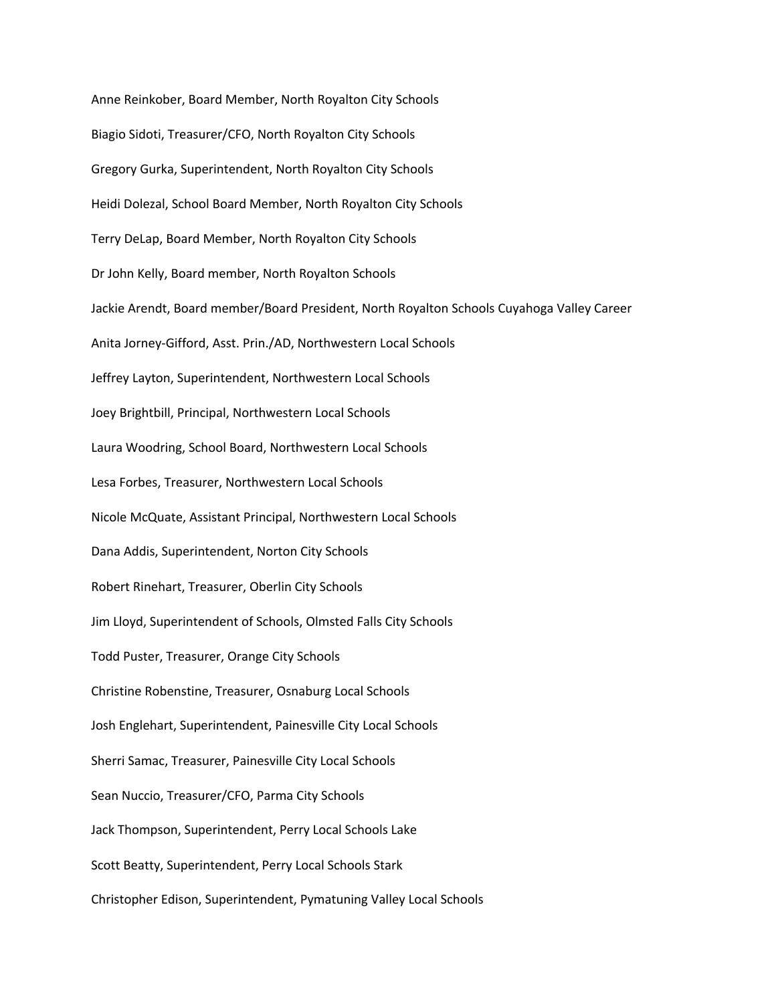Anne Reinkober, Board Member, North Royalton City Schools Biagio Sidoti, Treasurer/CFO, North Royalton City Schools Gregory Gurka, Superintendent, North Royalton City Schools Heidi Dolezal, School Board Member, North Royalton City Schools Terry DeLap, Board Member, North Royalton City Schools Dr John Kelly, Board member, North Royalton Schools Jackie Arendt, Board member/Board President, North Royalton Schools Cuyahoga Valley Career Anita Jorney-Gifford, Asst. Prin./AD, Northwestern Local Schools Jeffrey Layton, Superintendent, Northwestern Local Schools Joey Brightbill, Principal, Northwestern Local Schools Laura Woodring, School Board, Northwestern Local Schools Lesa Forbes, Treasurer, Northwestern Local Schools Nicole McQuate, Assistant Principal, Northwestern Local Schools Dana Addis, Superintendent, Norton City Schools Robert Rinehart, Treasurer, Oberlin City Schools Jim Lloyd, Superintendent of Schools, Olmsted Falls City Schools Todd Puster, Treasurer, Orange City Schools Christine Robenstine, Treasurer, Osnaburg Local Schools Josh Englehart, Superintendent, Painesville City Local Schools Sherri Samac, Treasurer, Painesville City Local Schools Sean Nuccio, Treasurer/CFO, Parma City Schools Jack Thompson, Superintendent, Perry Local Schools Lake Scott Beatty, Superintendent, Perry Local Schools Stark Christopher Edison, Superintendent, Pymatuning Valley Local Schools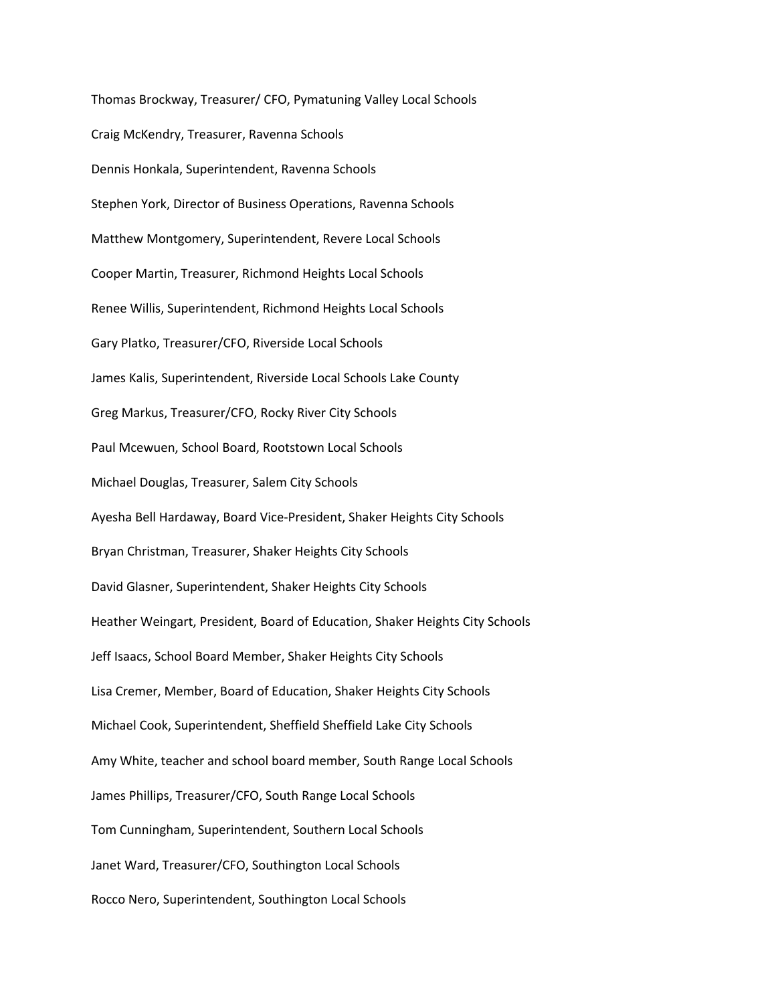Thomas Brockway, Treasurer/ CFO, Pymatuning Valley Local Schools Craig McKendry, Treasurer, Ravenna Schools Dennis Honkala, Superintendent, Ravenna Schools Stephen York, Director of Business Operations, Ravenna Schools Matthew Montgomery, Superintendent, Revere Local Schools Cooper Martin, Treasurer, Richmond Heights Local Schools Renee Willis, Superintendent, Richmond Heights Local Schools Gary Platko, Treasurer/CFO, Riverside Local Schools James Kalis, Superintendent, Riverside Local Schools Lake County Greg Markus, Treasurer/CFO, Rocky River City Schools Paul Mcewuen, School Board, Rootstown Local Schools Michael Douglas, Treasurer, Salem City Schools Ayesha Bell Hardaway, Board Vice-President, Shaker Heights City Schools Bryan Christman, Treasurer, Shaker Heights City Schools David Glasner, Superintendent, Shaker Heights City Schools Heather Weingart, President, Board of Education, Shaker Heights City Schools Jeff Isaacs, School Board Member, Shaker Heights City Schools Lisa Cremer, Member, Board of Education, Shaker Heights City Schools Michael Cook, Superintendent, Sheffield Sheffield Lake City Schools Amy White, teacher and school board member, South Range Local Schools James Phillips, Treasurer/CFO, South Range Local Schools Tom Cunningham, Superintendent, Southern Local Schools Janet Ward, Treasurer/CFO, Southington Local Schools Rocco Nero, Superintendent, Southington Local Schools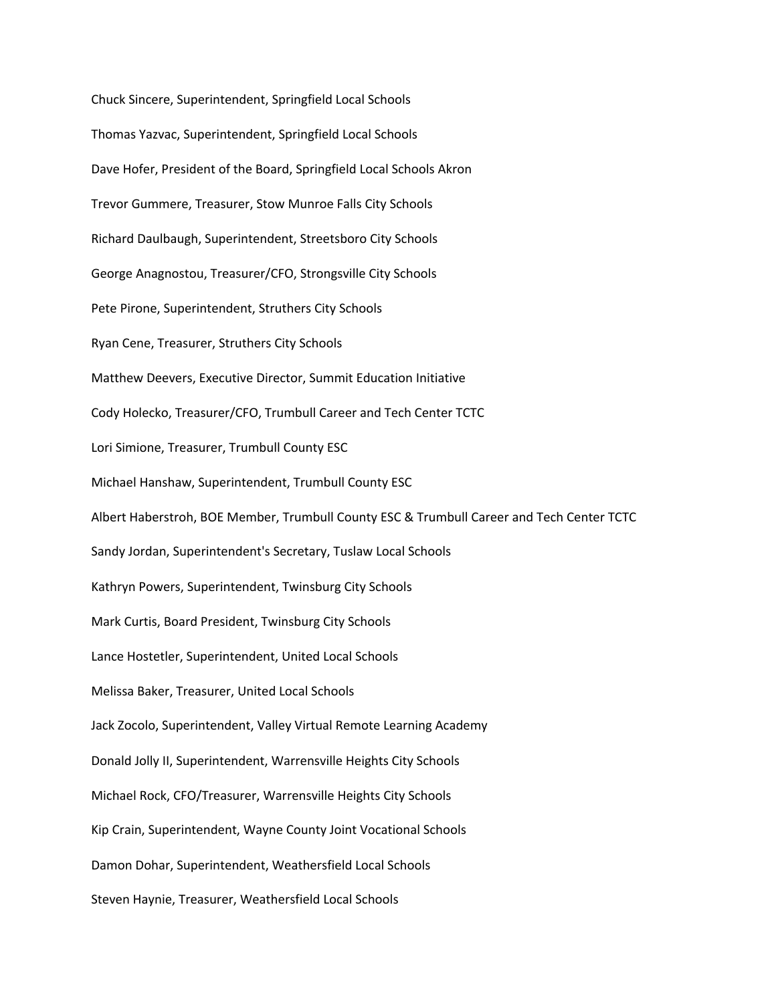Chuck Sincere, Superintendent, Springfield Local Schools Thomas Yazvac, Superintendent, Springfield Local Schools Dave Hofer, President of the Board, Springfield Local Schools Akron Trevor Gummere, Treasurer, Stow Munroe Falls City Schools Richard Daulbaugh, Superintendent, Streetsboro City Schools George Anagnostou, Treasurer/CFO, Strongsville City Schools Pete Pirone, Superintendent, Struthers City Schools Ryan Cene, Treasurer, Struthers City Schools Matthew Deevers, Executive Director, Summit Education Initiative Cody Holecko, Treasurer/CFO, Trumbull Career and Tech Center TCTC Lori Simione, Treasurer, Trumbull County ESC Michael Hanshaw, Superintendent, Trumbull County ESC Albert Haberstroh, BOE Member, Trumbull County ESC & Trumbull Career and Tech Center TCTC Sandy Jordan, Superintendent's Secretary, Tuslaw Local Schools Kathryn Powers, Superintendent, Twinsburg City Schools Mark Curtis, Board President, Twinsburg City Schools Lance Hostetler, Superintendent, United Local Schools Melissa Baker, Treasurer, United Local Schools Jack Zocolo, Superintendent, Valley Virtual Remote Learning Academy Donald Jolly II, Superintendent, Warrensville Heights City Schools Michael Rock, CFO/Treasurer, Warrensville Heights City Schools Kip Crain, Superintendent, Wayne County Joint Vocational Schools Damon Dohar, Superintendent, Weathersfield Local Schools Steven Haynie, Treasurer, Weathersfield Local Schools